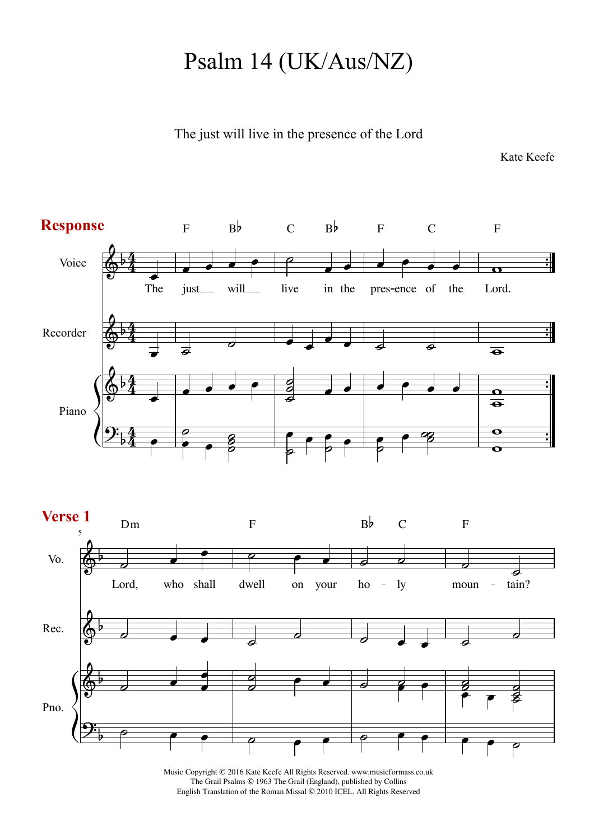## Psalm 14 (UK/Aus/NZ)

The just will live in the presence of the Lord

Kate Keefe



Music Copyright © 2016 Kate Keefe All Rights Reserved. www.musicformass.co.uk The Grail Psalms © 1963 The Grail (England), published by Collins English Translation of the Roman Missal © 2010 ICEL. All Rights Reserved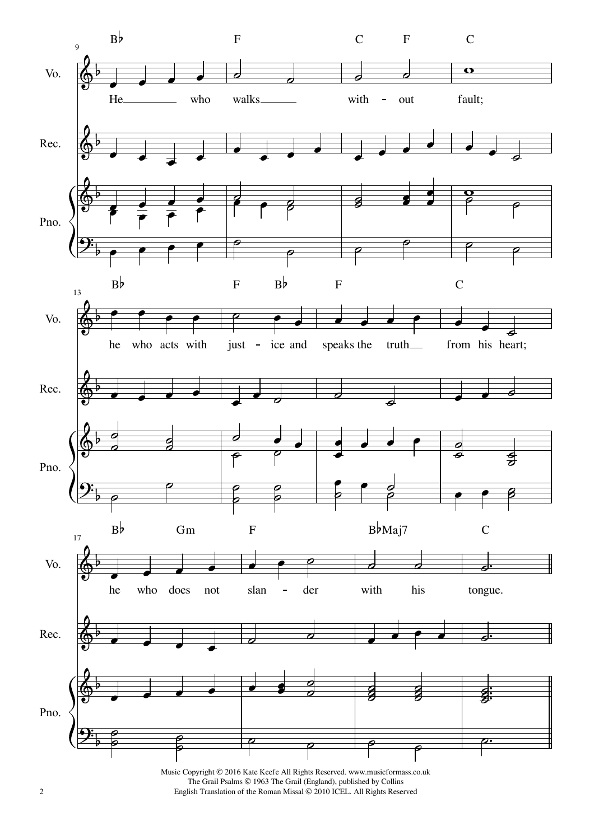

2 English Translation of the Roman Missal © 2010 ICEL. All Rights Reserved Music Copyright © 2016 Kate Keefe All Rights Reserved. www.musicformass.co.uk The Grail Psalms © 1963 The Grail (England), published by Collins English Translation of the Roman Missal © 2010 ICEL. All Rights Reserved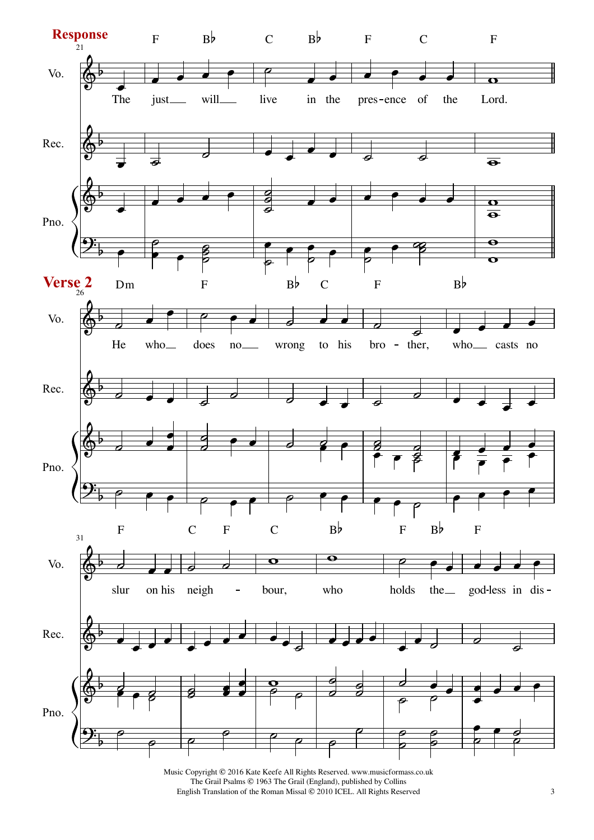

Music Copyright © 2016 Kate Keefe All Rights Reserved. www.musicformass.co.uk The Grail Psalms © 1963 The Grail (England), published by Collins English Translation of the Roman Missal © 2010 ICEL. All Rights Reserved 3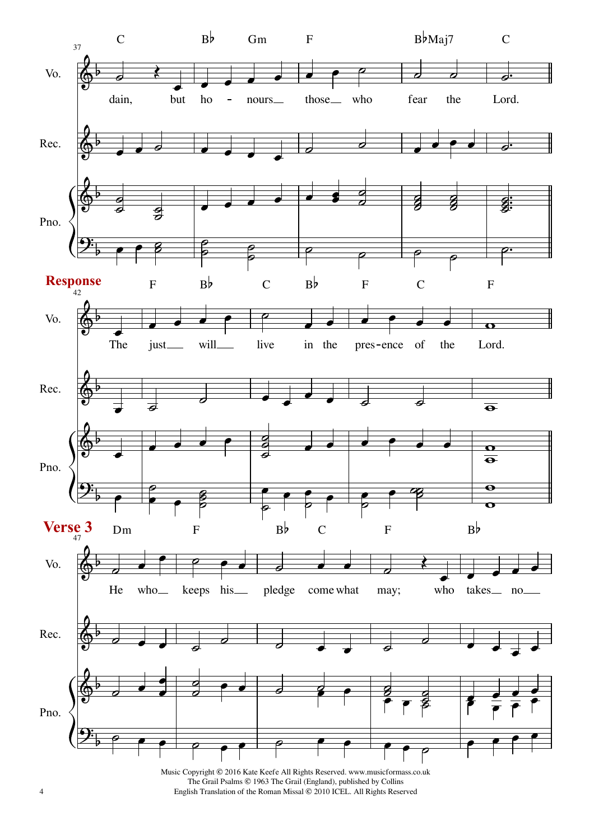

4 English Translation of the Roman Missal © 2010 ICEL. All Rights Reserved Music Copyright © 2016 Kate Keefe All Rights Reserved. www.musicformass.co.uk The Grail Psalms © 1963 The Grail (England), published by Collins English Translation of the Roman Missal © 2010 ICEL. All Rights Reserved